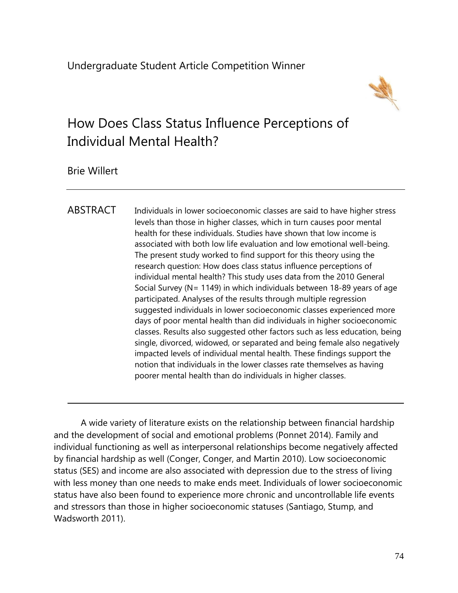

# How Does Class Status Influence Perceptions of Individual Mental Health?

Brie Willert

ABSTRACT Individuals in lower socioeconomic classes are said to have higher stress levels than those in higher classes, which in turn causes poor mental health for these individuals. Studies have shown that low income is associated with both low life evaluation and low emotional well-being. The present study worked to find support for this theory using the research question: How does class status influence perceptions of individual mental health? This study uses data from the 2010 General Social Survey (N= 1149) in which individuals between 18-89 years of age participated. Analyses of the results through multiple regression suggested individuals in lower socioeconomic classes experienced more days of poor mental health than did individuals in higher socioeconomic classes. Results also suggested other factors such as less education, being single, divorced, widowed, or separated and being female also negatively impacted levels of individual mental health. These findings support the notion that individuals in the lower classes rate themselves as having poorer mental health than do individuals in higher classes.

A wide variety of literature exists on the relationship between financial hardship and the development of social and emotional problems (Ponnet 2014). Family and individual functioning as well as interpersonal relationships become negatively affected by financial hardship as well (Conger, Conger, and Martin 2010). Low socioeconomic status (SES) and income are also associated with depression due to the stress of living with less money than one needs to make ends meet. Individuals of lower socioeconomic status have also been found to experience more chronic and uncontrollable life events and stressors than those in higher socioeconomic statuses (Santiago, Stump, and Wadsworth 2011).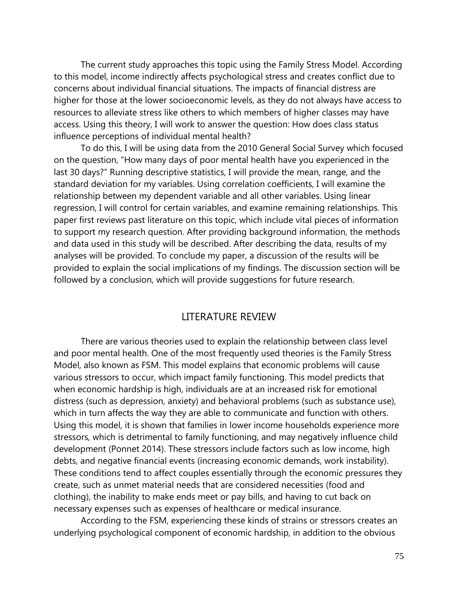The current study approaches this topic using the Family Stress Model. According to this model, income indirectly affects psychological stress and creates conflict due to concerns about individual financial situations. The impacts of financial distress are higher for those at the lower socioeconomic levels, as they do not always have access to resources to alleviate stress like others to which members of higher classes may have access. Using this theory, I will work to answer the question: How does class status influence perceptions of individual mental health?

To do this, I will be using data from the 2010 General Social Survey which focused on the question, "How many days of poor mental health have you experienced in the last 30 days?" Running descriptive statistics, I will provide the mean, range, and the standard deviation for my variables. Using correlation coefficients, I will examine the relationship between my dependent variable and all other variables. Using linear regression, I will control for certain variables, and examine remaining relationships. This paper first reviews past literature on this topic, which include vital pieces of information to support my research question. After providing background information, the methods and data used in this study will be described. After describing the data, results of my analyses will be provided. To conclude my paper, a discussion of the results will be provided to explain the social implications of my findings. The discussion section will be followed by a conclusion, which will provide suggestions for future research.

# LITERATURE REVIEW

There are various theories used to explain the relationship between class level and poor mental health. One of the most frequently used theories is the Family Stress Model, also known as FSM. This model explains that economic problems will cause various stressors to occur, which impact family functioning. This model predicts that when economic hardship is high, individuals are at an increased risk for emotional distress (such as depression, anxiety) and behavioral problems (such as substance use), which in turn affects the way they are able to communicate and function with others. Using this model, it is shown that families in lower income households experience more stressors, which is detrimental to family functioning, and may negatively influence child development (Ponnet 2014). These stressors include factors such as low income, high debts, and negative financial events (increasing economic demands, work instability). These conditions tend to affect couples essentially through the economic pressures they create, such as unmet material needs that are considered necessities (food and clothing), the inability to make ends meet or pay bills, and having to cut back on necessary expenses such as expenses of healthcare or medical insurance.

According to the FSM, experiencing these kinds of strains or stressors creates an underlying psychological component of economic hardship, in addition to the obvious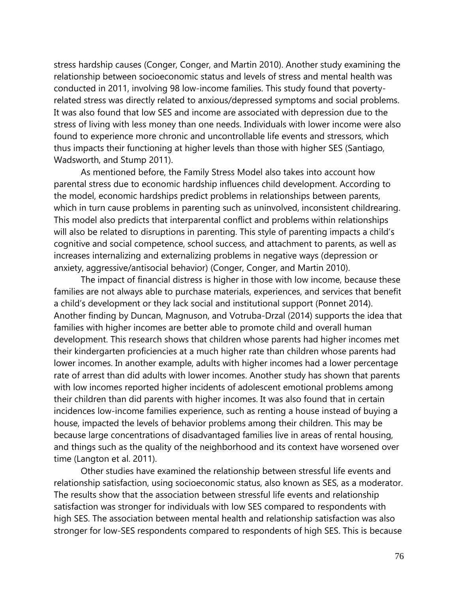stress hardship causes (Conger, Conger, and Martin 2010). Another study examining the relationship between socioeconomic status and levels of stress and mental health was conducted in 2011, involving 98 low-income families. This study found that povertyrelated stress was directly related to anxious/depressed symptoms and social problems. It was also found that low SES and income are associated with depression due to the stress of living with less money than one needs. Individuals with lower income were also found to experience more chronic and uncontrollable life events and stressors, which thus impacts their functioning at higher levels than those with higher SES (Santiago, Wadsworth, and Stump 2011).

As mentioned before, the Family Stress Model also takes into account how parental stress due to economic hardship influences child development. According to the model, economic hardships predict problems in relationships between parents, which in turn cause problems in parenting such as uninvolved, inconsistent childrearing. This model also predicts that interparental conflict and problems within relationships will also be related to disruptions in parenting. This style of parenting impacts a child's cognitive and social competence, school success, and attachment to parents, as well as increases internalizing and externalizing problems in negative ways (depression or anxiety, aggressive/antisocial behavior) (Conger, Conger, and Martin 2010).

The impact of financial distress is higher in those with low income, because these families are not always able to purchase materials, experiences, and services that benefit a child's development or they lack social and institutional support (Ponnet 2014). Another finding by Duncan, Magnuson, and Votruba-Drzal (2014) supports the idea that families with higher incomes are better able to promote child and overall human development. This research shows that children whose parents had higher incomes met their kindergarten proficiencies at a much higher rate than children whose parents had lower incomes. In another example, adults with higher incomes had a lower percentage rate of arrest than did adults with lower incomes. Another study has shown that parents with low incomes reported higher incidents of adolescent emotional problems among their children than did parents with higher incomes. It was also found that in certain incidences low-income families experience, such as renting a house instead of buying a house, impacted the levels of behavior problems among their children. This may be because large concentrations of disadvantaged families live in areas of rental housing, and things such as the quality of the neighborhood and its context have worsened over time (Langton et al. 2011).

Other studies have examined the relationship between stressful life events and relationship satisfaction, using socioeconomic status, also known as SES, as a moderator. The results show that the association between stressful life events and relationship satisfaction was stronger for individuals with low SES compared to respondents with high SES. The association between mental health and relationship satisfaction was also stronger for low-SES respondents compared to respondents of high SES. This is because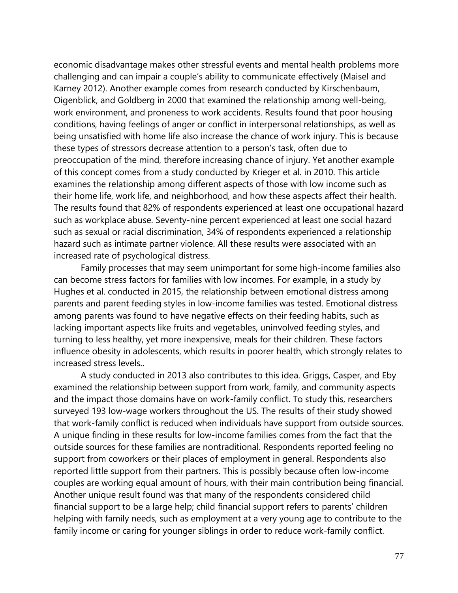economic disadvantage makes other stressful events and mental health problems more challenging and can impair a couple's ability to communicate effectively (Maisel and Karney 2012). Another example comes from research conducted by Kirschenbaum, Oigenblick, and Goldberg in 2000 that examined the relationship among well-being, work environment, and proneness to work accidents. Results found that poor housing conditions, having feelings of anger or conflict in interpersonal relationships, as well as being unsatisfied with home life also increase the chance of work injury. This is because these types of stressors decrease attention to a person's task, often due to preoccupation of the mind, therefore increasing chance of injury. Yet another example of this concept comes from a study conducted by Krieger et al. in 2010. This article examines the relationship among different aspects of those with low income such as their home life, work life, and neighborhood, and how these aspects affect their health. The results found that 82% of respondents experienced at least one occupational hazard such as workplace abuse. Seventy-nine percent experienced at least one social hazard such as sexual or racial discrimination, 34% of respondents experienced a relationship hazard such as intimate partner violence. All these results were associated with an increased rate of psychological distress.

Family processes that may seem unimportant for some high-income families also can become stress factors for families with low incomes. For example, in a study by Hughes et al. conducted in 2015, the relationship between emotional distress among parents and parent feeding styles in low-income families was tested. Emotional distress among parents was found to have negative effects on their feeding habits, such as lacking important aspects like fruits and vegetables, uninvolved feeding styles, and turning to less healthy, yet more inexpensive, meals for their children. These factors influence obesity in adolescents, which results in poorer health, which strongly relates to increased stress levels..

A study conducted in 2013 also contributes to this idea. Griggs, Casper, and Eby examined the relationship between support from work, family, and community aspects and the impact those domains have on work-family conflict. To study this, researchers surveyed 193 low-wage workers throughout the US. The results of their study showed that work-family conflict is reduced when individuals have support from outside sources. A unique finding in these results for low-income families comes from the fact that the outside sources for these families are nontraditional. Respondents reported feeling no support from coworkers or their places of employment in general. Respondents also reported little support from their partners. This is possibly because often low-income couples are working equal amount of hours, with their main contribution being financial. Another unique result found was that many of the respondents considered child financial support to be a large help; child financial support refers to parents' children helping with family needs, such as employment at a very young age to contribute to the family income or caring for younger siblings in order to reduce work-family conflict.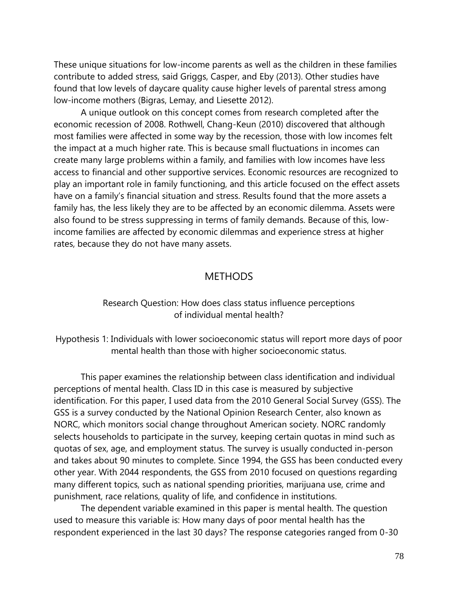These unique situations for low-income parents as well as the children in these families contribute to added stress, said Griggs, Casper, and Eby (2013). Other studies have found that low levels of daycare quality cause higher levels of parental stress among low-income mothers (Bigras, Lemay, and Liesette 2012).

A unique outlook on this concept comes from research completed after the economic recession of 2008. Rothwell, Chang-Keun (2010) discovered that although most families were affected in some way by the recession, those with low incomes felt the impact at a much higher rate. This is because small fluctuations in incomes can create many large problems within a family, and families with low incomes have less access to financial and other supportive services. Economic resources are recognized to play an important role in family functioning, and this article focused on the effect assets have on a family's financial situation and stress. Results found that the more assets a family has, the less likely they are to be affected by an economic dilemma. Assets were also found to be stress suppressing in terms of family demands. Because of this, lowincome families are affected by economic dilemmas and experience stress at higher rates, because they do not have many assets.

# **METHODS**

# Research Question: How does class status influence perceptions of individual mental health?

Hypothesis 1: Individuals with lower socioeconomic status will report more days of poor mental health than those with higher socioeconomic status.

This paper examines the relationship between class identification and individual perceptions of mental health. Class ID in this case is measured by subjective identification. For this paper, I used data from the 2010 General Social Survey (GSS). The GSS is a survey conducted by the National Opinion Research Center, also known as NORC, which monitors social change throughout American society. NORC randomly selects households to participate in the survey, keeping certain quotas in mind such as quotas of sex, age, and employment status. The survey is usually conducted in-person and takes about 90 minutes to complete. Since 1994, the GSS has been conducted every other year. With 2044 respondents, the GSS from 2010 focused on questions regarding many different topics, such as national spending priorities, marijuana use, crime and punishment, race relations, quality of life, and confidence in institutions.

The dependent variable examined in this paper is mental health. The question used to measure this variable is: How many days of poor mental health has the respondent experienced in the last 30 days? The response categories ranged from 0-30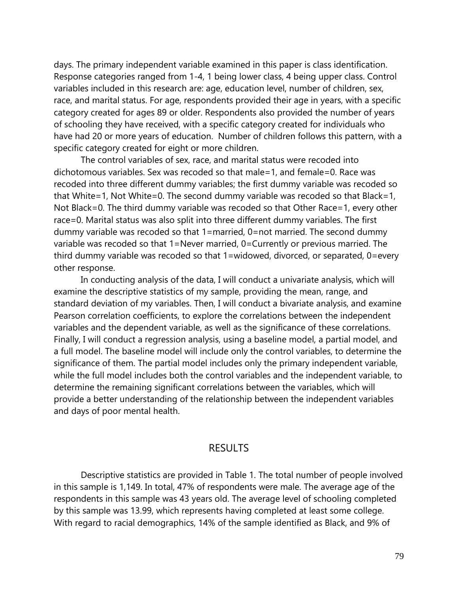days. The primary independent variable examined in this paper is class identification. Response categories ranged from 1-4, 1 being lower class, 4 being upper class. Control variables included in this research are: age, education level, number of children, sex, race, and marital status. For age, respondents provided their age in years, with a specific category created for ages 89 or older. Respondents also provided the number of years of schooling they have received, with a specific category created for individuals who have had 20 or more years of education. Number of children follows this pattern, with a specific category created for eight or more children.

The control variables of sex, race, and marital status were recoded into dichotomous variables. Sex was recoded so that male=1, and female=0. Race was recoded into three different dummy variables; the first dummy variable was recoded so that White=1, Not White=0. The second dummy variable was recoded so that Black=1, Not Black=0. The third dummy variable was recoded so that Other Race=1, every other race=0. Marital status was also split into three different dummy variables. The first dummy variable was recoded so that 1=married, 0=not married. The second dummy variable was recoded so that 1=Never married, 0=Currently or previous married. The third dummy variable was recoded so that 1=widowed, divorced, or separated, 0=every other response.

In conducting analysis of the data, I will conduct a univariate analysis, which will examine the descriptive statistics of my sample, providing the mean, range, and standard deviation of my variables. Then, I will conduct a bivariate analysis, and examine Pearson correlation coefficients, to explore the correlations between the independent variables and the dependent variable, as well as the significance of these correlations. Finally, I will conduct a regression analysis, using a baseline model, a partial model, and a full model. The baseline model will include only the control variables, to determine the significance of them. The partial model includes only the primary independent variable, while the full model includes both the control variables and the independent variable, to determine the remaining significant correlations between the variables, which will provide a better understanding of the relationship between the independent variables and days of poor mental health.

# RESULTS

Descriptive statistics are provided in Table 1. The total number of people involved in this sample is 1,149. In total, 47% of respondents were male. The average age of the respondents in this sample was 43 years old. The average level of schooling completed by this sample was 13.99, which represents having completed at least some college. With regard to racial demographics, 14% of the sample identified as Black, and 9% of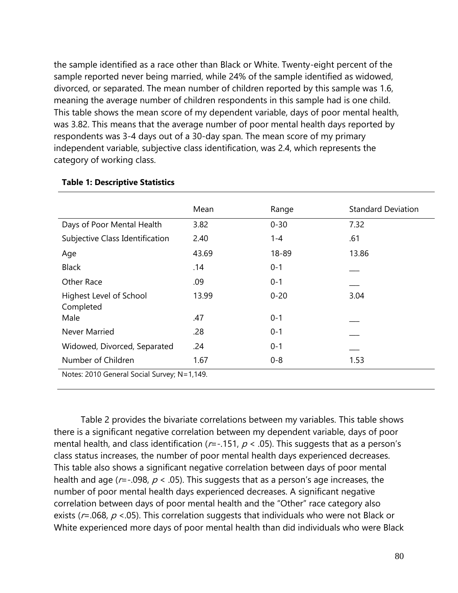the sample identified as a race other than Black or White. Twenty-eight percent of the sample reported never being married, while 24% of the sample identified as widowed, divorced, or separated. The mean number of children reported by this sample was 1.6, meaning the average number of children respondents in this sample had is one child. This table shows the mean score of my dependent variable, days of poor mental health, was 3.82. This means that the average number of poor mental health days reported by respondents was 3-4 days out of a 30-day span. The mean score of my primary independent variable, subjective class identification, was 2.4, which represents the category of working class.

|                                             | Mean  | Range    | <b>Standard Deviation</b> |  |  |  |  |
|---------------------------------------------|-------|----------|---------------------------|--|--|--|--|
| Days of Poor Mental Health                  | 3.82  | $0 - 30$ | 7.32                      |  |  |  |  |
|                                             |       |          |                           |  |  |  |  |
| Subjective Class Identification             | 2.40  | 1-4      | .61                       |  |  |  |  |
| Age                                         | 43.69 | 18-89    | 13.86                     |  |  |  |  |
| <b>Black</b>                                | .14   | $0 - 1$  |                           |  |  |  |  |
| Other Race                                  | .09   | $0 - 1$  |                           |  |  |  |  |
| Highest Level of School<br>Completed        | 13.99 | $0 - 20$ | 3.04                      |  |  |  |  |
| Male                                        | .47   | $0 - 1$  |                           |  |  |  |  |
| <b>Never Married</b>                        | .28   | $0 - 1$  |                           |  |  |  |  |
| Widowed, Divorced, Separated                | .24   | $0 - 1$  |                           |  |  |  |  |
| Number of Children                          | 1.67  | $0 - 8$  | 1.53                      |  |  |  |  |
| Notes: 2010 General Social Survey; N=1,149. |       |          |                           |  |  |  |  |

#### **Table 1: Descriptive Statistics**

Table 2 provides the bivariate correlations between my variables. This table shows there is a significant negative correlation between my dependent variable, days of poor mental health, and class identification ( $r = -151$ ,  $p < 0.05$ ). This suggests that as a person's class status increases, the number of poor mental health days experienced decreases. This table also shows a significant negative correlation between days of poor mental health and age ( $r = -0.098$ ,  $p < 0.05$ ). This suggests that as a person's age increases, the number of poor mental health days experienced decreases. A significant negative correlation between days of poor mental health and the "Other" race category also exists ( $r = .068$ ,  $p < .05$ ). This correlation suggests that individuals who were not Black or White experienced more days of poor mental health than did individuals who were Black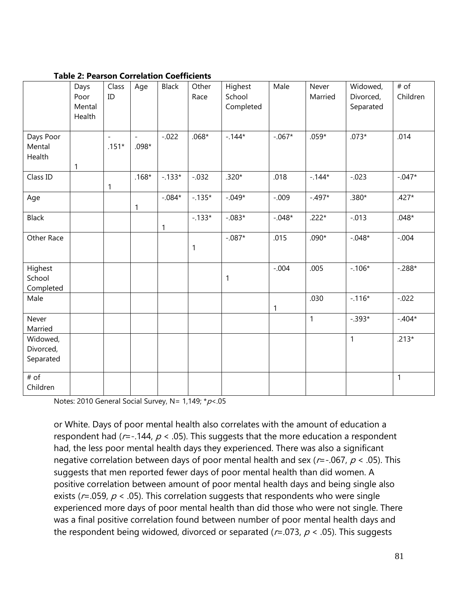|                                    | Days<br>Poor<br>Mental<br>Health | Class<br>ID                         | Age     | <b>Black</b> | Other<br>Race | Highest<br>School<br>Completed | Male         | Never<br>Married | Widowed,<br>Divorced,<br>Separated | # of<br>Children |
|------------------------------------|----------------------------------|-------------------------------------|---------|--------------|---------------|--------------------------------|--------------|------------------|------------------------------------|------------------|
| Days Poor<br>Mental<br>Health      | 1                                | $\overline{\phantom{a}}$<br>$.151*$ | $.098*$ | $-.022$      | $.068*$       | $-144*$                        | $-.067*$     | $.059*$          | $.073*$                            | .014             |
| Class ID                           |                                  | 1                                   | $.168*$ | $-0.133*$    | $-0.032$      | $.320*$                        | .018         | $-144*$          | $-.023$                            | $-.047*$         |
| Age                                |                                  |                                     | 1       | $-.084*$     | $-0.135*$     | $-.049*$                       | $-.009$      | $-.497*$         | $.380*$                            | $.427*$          |
| <b>Black</b>                       |                                  |                                     |         | 1            | $-0.133*$     | $-.083*$                       | $-.048*$     | $.222*$          | $-.013$                            | $.048*$          |
| Other Race                         |                                  |                                     |         |              | 1             | $-.087*$                       | .015         | $.090*$          | $-.048*$                           | $-.004$          |
| Highest<br>School<br>Completed     |                                  |                                     |         |              |               | 1                              | $-.004$      | .005             | $-.106*$                           | $-.288*$         |
| Male                               |                                  |                                     |         |              |               |                                | $\mathbf{1}$ | .030             | $-.116*$                           | $-0.022$         |
| Never<br>Married                   |                                  |                                     |         |              |               |                                |              | $\mathbf{1}$     | $-.393*$                           | $-.404*$         |
| Widowed,<br>Divorced,<br>Separated |                                  |                                     |         |              |               |                                |              |                  | $\mathbf{1}$                       | $.213*$          |
| # of<br>Children                   |                                  |                                     |         |              |               |                                |              |                  |                                    | $\mathbf{1}$     |

### **Table 2: Pearson Correlation Coefficients**

Notes: 2010 General Social Survey, N= 1,149;  $* p$  <.05

or White. Days of poor mental health also correlates with the amount of education a respondent had ( $r = -144$ ,  $p < .05$ ). This suggests that the more education a respondent had, the less poor mental health days they experienced. There was also a significant negative correlation between days of poor mental health and sex ( $r = -067$ ,  $p < 0.05$ ). This suggests that men reported fewer days of poor mental health than did women. A positive correlation between amount of poor mental health days and being single also exists ( $r = .059$ ,  $p < .05$ ). This correlation suggests that respondents who were single experienced more days of poor mental health than did those who were not single. There was a final positive correlation found between number of poor mental health days and the respondent being widowed, divorced or separated ( $r = .073$ ,  $p < .05$ ). This suggests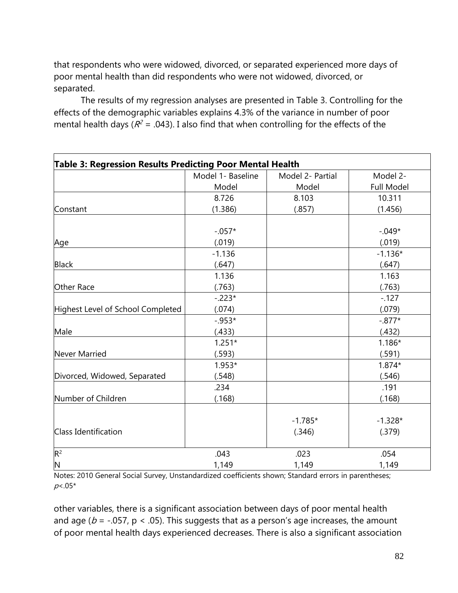that respondents who were widowed, divorced, or separated experienced more days of poor mental health than did respondents who were not widowed, divorced, or separated.

The results of my regression analyses are presented in Table 3. Controlling for the effects of the demographic variables explains 4.3% of the variance in number of poor mental health days ( $R^2$  = .043). I also find that when controlling for the effects of the

| <b>Table 3: Regression Results Predicting Poor Mental Health</b> |                   |                  |                   |  |  |  |  |
|------------------------------------------------------------------|-------------------|------------------|-------------------|--|--|--|--|
|                                                                  | Model 1- Baseline | Model 2- Partial | Model 2-          |  |  |  |  |
|                                                                  | Model             | Model            | <b>Full Model</b> |  |  |  |  |
|                                                                  | 8.726             | 8.103            | 10.311            |  |  |  |  |
| Constant                                                         | (1.386)           | (.857)           | (1.456)           |  |  |  |  |
|                                                                  |                   |                  |                   |  |  |  |  |
|                                                                  | $-.057*$          |                  | $-.049*$          |  |  |  |  |
| Age                                                              | (.019)            |                  | (.019)            |  |  |  |  |
|                                                                  | $-1.136$          |                  | $-1.136*$         |  |  |  |  |
| <b>Black</b>                                                     | (.647)            |                  | (.647)            |  |  |  |  |
|                                                                  | 1.136             |                  | 1.163             |  |  |  |  |
| Other Race                                                       | (.763)            |                  | (.763)            |  |  |  |  |
|                                                                  | $-.223*$          |                  | $-127$            |  |  |  |  |
| Highest Level of School Completed                                | (.074)            |                  | (.079)            |  |  |  |  |
|                                                                  | $-0.953*$         |                  | $-.877*$          |  |  |  |  |
| Male                                                             | (.433)            |                  | (.432)            |  |  |  |  |
|                                                                  | $1.251*$          |                  | $1.186*$          |  |  |  |  |
| <b>Never Married</b>                                             | (.593)            |                  | (.591)            |  |  |  |  |
|                                                                  | $1.953*$          |                  | $1.874*$          |  |  |  |  |
| Divorced, Widowed, Separated                                     | (.548)            |                  | (.546)            |  |  |  |  |
|                                                                  | .234              |                  | .191              |  |  |  |  |
| Number of Children                                               | (.168)            |                  | (.168)            |  |  |  |  |
|                                                                  |                   |                  |                   |  |  |  |  |
|                                                                  |                   | $-1.785*$        | $-1.328*$         |  |  |  |  |
| <b>Class Identification</b>                                      |                   | (.346)           | (.379)            |  |  |  |  |
| $R^2$                                                            | .043              | .023             | .054              |  |  |  |  |
| $\mathsf{N}$                                                     | 1,149             | 1,149            | 1,149             |  |  |  |  |

Notes: 2010 General Social Survey, Unstandardized coefficients shown; Standard errors in parentheses;  $p<.05*$ 

other variables, there is a significant association between days of poor mental health and age ( $b = -0.057$ ,  $p < 0.05$ ). This suggests that as a person's age increases, the amount of poor mental health days experienced decreases. There is also a significant association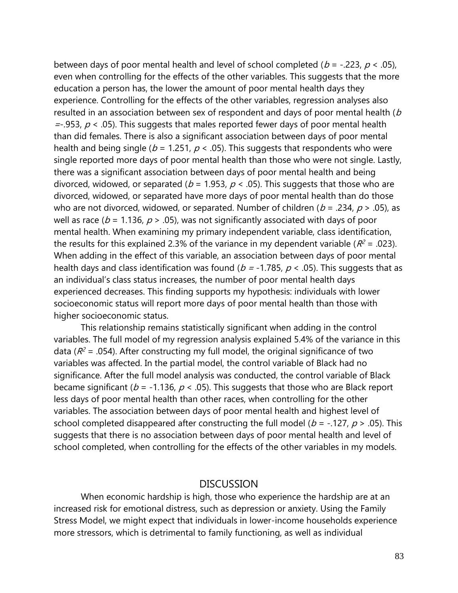between days of poor mental health and level of school completed ( $b = -223$ ,  $p < .05$ ), even when controlling for the effects of the other variables. This suggests that the more education a person has, the lower the amount of poor mental health days they experience. Controlling for the effects of the other variables, regression analyses also resulted in an association between sex of respondent and days of poor mental health (b  $=$ -.953,  $p <$  .05). This suggests that males reported fewer days of poor mental health than did females. There is also a significant association between days of poor mental health and being single ( $b = 1.251$ ,  $p < .05$ ). This suggests that respondents who were single reported more days of poor mental health than those who were not single. Lastly, there was a significant association between days of poor mental health and being divorced, widowed, or separated ( $b = 1.953$ ,  $p < .05$ ). This suggests that those who are divorced, widowed, or separated have more days of poor mental health than do those who are not divorced, widowed, or separated. Number of children ( $b = 0.234$ ,  $p > 0.05$ ), as well as race ( $b = 1.136$ ,  $p > .05$ ), was not significantly associated with days of poor mental health. When examining my primary independent variable, class identification, the results for this explained 2.3% of the variance in my dependent variable ( $R^2$  = .023). When adding in the effect of this variable, an association between days of poor mental health days and class identification was found ( $b = -1.785$ ,  $p < .05$ ). This suggests that as an individual's class status increases, the number of poor mental health days experienced decreases. This finding supports my hypothesis: individuals with lower socioeconomic status will report more days of poor mental health than those with higher socioeconomic status.

This relationship remains statistically significant when adding in the control variables. The full model of my regression analysis explained 5.4% of the variance in this data ( $R^2$  = .054). After constructing my full model, the original significance of two variables was affected. In the partial model, the control variable of Black had no significance. After the full model analysis was conducted, the control variable of Black became significant ( $b = -1.136$ ,  $p < .05$ ). This suggests that those who are Black report less days of poor mental health than other races, when controlling for the other variables. The association between days of poor mental health and highest level of school completed disappeared after constructing the full model ( $b = -127$ ,  $p > 0.05$ ). This suggests that there is no association between days of poor mental health and level of school completed, when controlling for the effects of the other variables in my models.

### **DISCUSSION**

When economic hardship is high, those who experience the hardship are at an increased risk for emotional distress, such as depression or anxiety. Using the Family Stress Model, we might expect that individuals in lower-income households experience more stressors, which is detrimental to family functioning, as well as individual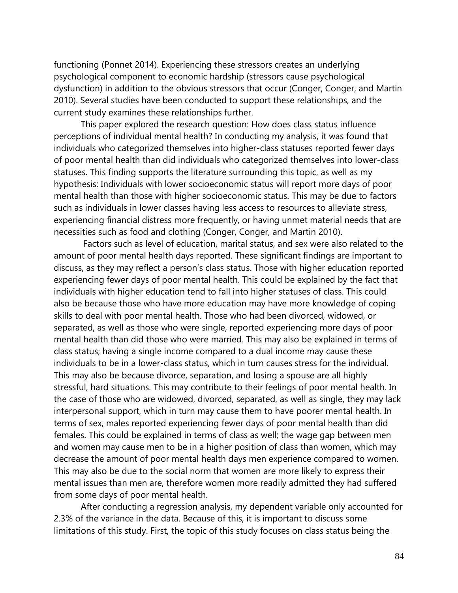functioning (Ponnet 2014). Experiencing these stressors creates an underlying psychological component to economic hardship (stressors cause psychological dysfunction) in addition to the obvious stressors that occur (Conger, Conger, and Martin 2010). Several studies have been conducted to support these relationships, and the current study examines these relationships further.

This paper explored the research question: How does class status influence perceptions of individual mental health? In conducting my analysis, it was found that individuals who categorized themselves into higher-class statuses reported fewer days of poor mental health than did individuals who categorized themselves into lower-class statuses. This finding supports the literature surrounding this topic, as well as my hypothesis: Individuals with lower socioeconomic status will report more days of poor mental health than those with higher socioeconomic status. This may be due to factors such as individuals in lower classes having less access to resources to alleviate stress, experiencing financial distress more frequently, or having unmet material needs that are necessities such as food and clothing (Conger, Conger, and Martin 2010).

Factors such as level of education, marital status, and sex were also related to the amount of poor mental health days reported. These significant findings are important to discuss, as they may reflect a person's class status. Those with higher education reported experiencing fewer days of poor mental health. This could be explained by the fact that individuals with higher education tend to fall into higher statuses of class. This could also be because those who have more education may have more knowledge of coping skills to deal with poor mental health. Those who had been divorced, widowed, or separated, as well as those who were single, reported experiencing more days of poor mental health than did those who were married. This may also be explained in terms of class status; having a single income compared to a dual income may cause these individuals to be in a lower-class status, which in turn causes stress for the individual. This may also be because divorce, separation, and losing a spouse are all highly stressful, hard situations. This may contribute to their feelings of poor mental health. In the case of those who are widowed, divorced, separated, as well as single, they may lack interpersonal support, which in turn may cause them to have poorer mental health. In terms of sex, males reported experiencing fewer days of poor mental health than did females. This could be explained in terms of class as well; the wage gap between men and women may cause men to be in a higher position of class than women, which may decrease the amount of poor mental health days men experience compared to women. This may also be due to the social norm that women are more likely to express their mental issues than men are, therefore women more readily admitted they had suffered from some days of poor mental health.

After conducting a regression analysis, my dependent variable only accounted for 2.3% of the variance in the data. Because of this, it is important to discuss some limitations of this study. First, the topic of this study focuses on class status being the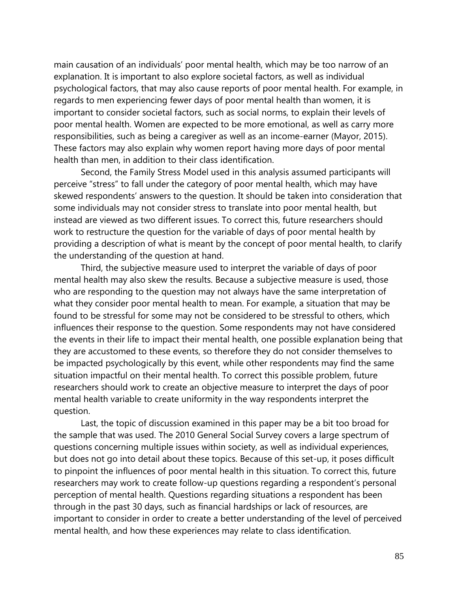main causation of an individuals' poor mental health, which may be too narrow of an explanation. It is important to also explore societal factors, as well as individual psychological factors, that may also cause reports of poor mental health. For example, in regards to men experiencing fewer days of poor mental health than women, it is important to consider societal factors, such as social norms, to explain their levels of poor mental health. Women are expected to be more emotional, as well as carry more responsibilities, such as being a caregiver as well as an income-earner (Mayor, 2015). These factors may also explain why women report having more days of poor mental health than men, in addition to their class identification.

Second, the Family Stress Model used in this analysis assumed participants will perceive "stress" to fall under the category of poor mental health, which may have skewed respondents' answers to the question. It should be taken into consideration that some individuals may not consider stress to translate into poor mental health, but instead are viewed as two different issues. To correct this, future researchers should work to restructure the question for the variable of days of poor mental health by providing a description of what is meant by the concept of poor mental health, to clarify the understanding of the question at hand.

Third, the subjective measure used to interpret the variable of days of poor mental health may also skew the results. Because a subjective measure is used, those who are responding to the question may not always have the same interpretation of what they consider poor mental health to mean. For example, a situation that may be found to be stressful for some may not be considered to be stressful to others, which influences their response to the question. Some respondents may not have considered the events in their life to impact their mental health, one possible explanation being that they are accustomed to these events, so therefore they do not consider themselves to be impacted psychologically by this event, while other respondents may find the same situation impactful on their mental health. To correct this possible problem, future researchers should work to create an objective measure to interpret the days of poor mental health variable to create uniformity in the way respondents interpret the question.

Last, the topic of discussion examined in this paper may be a bit too broad for the sample that was used. The 2010 General Social Survey covers a large spectrum of questions concerning multiple issues within society, as well as individual experiences, but does not go into detail about these topics. Because of this set-up, it poses difficult to pinpoint the influences of poor mental health in this situation. To correct this, future researchers may work to create follow-up questions regarding a respondent's personal perception of mental health. Questions regarding situations a respondent has been through in the past 30 days, such as financial hardships or lack of resources, are important to consider in order to create a better understanding of the level of perceived mental health, and how these experiences may relate to class identification.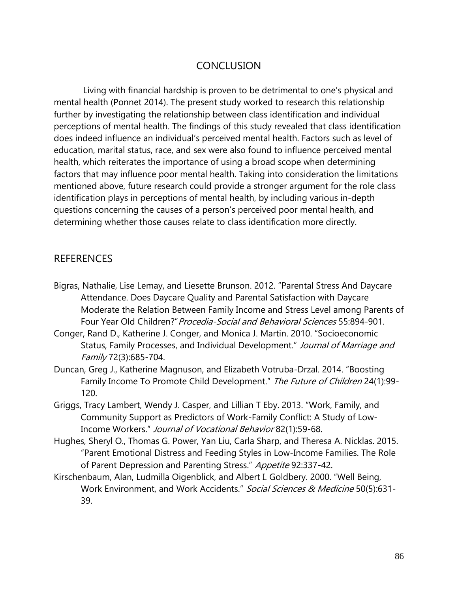# **CONCLUSION**

Living with financial hardship is proven to be detrimental to one's physical and mental health (Ponnet 2014). The present study worked to research this relationship further by investigating the relationship between class identification and individual perceptions of mental health. The findings of this study revealed that class identification does indeed influence an individual's perceived mental health. Factors such as level of education, marital status, race, and sex were also found to influence perceived mental health, which reiterates the importance of using a broad scope when determining factors that may influence poor mental health. Taking into consideration the limitations mentioned above, future research could provide a stronger argument for the role class identification plays in perceptions of mental health, by including various in-depth questions concerning the causes of a person's perceived poor mental health, and determining whether those causes relate to class identification more directly.

# **REFERENCES**

Bigras, Nathalie, Lise Lemay, and Liesette Brunson. 2012. "Parental Stress And Daycare Attendance. Does Daycare Quality and Parental Satisfaction with Daycare Moderate the Relation Between Family Income and Stress Level among Parents of Four Year Old Children?" Procedia-Social and Behavioral Sciences 55:894-901.

Conger, Rand D., Katherine J. Conger, and Monica J. Martin. 2010. "Socioeconomic Status, Family Processes, and Individual Development." Journal of Marriage and Family 72(3):685-704.

- Duncan, Greg J., Katherine Magnuson, and Elizabeth Votruba-Drzal. 2014. "Boosting Family Income To Promote Child Development." The Future of Children 24(1):99-120.
- Griggs, Tracy Lambert, Wendy J. Casper, and Lillian T Eby. 2013. "Work, Family, and Community Support as Predictors of Work-Family Conflict: A Study of Low-Income Workers." Journal of Vocational Behavior 82(1):59-68.
- Hughes, Sheryl O., Thomas G. Power, Yan Liu, Carla Sharp, and Theresa A. Nicklas. 2015. "Parent Emotional Distress and Feeding Styles in Low-Income Families. The Role of Parent Depression and Parenting Stress." Appetite 92:337-42.
- Kirschenbaum, Alan, Ludmilla Oigenblick, and Albert I. Goldbery. 2000. "Well Being, Work Environment, and Work Accidents." Social Sciences & Medicine 50(5):631-39.